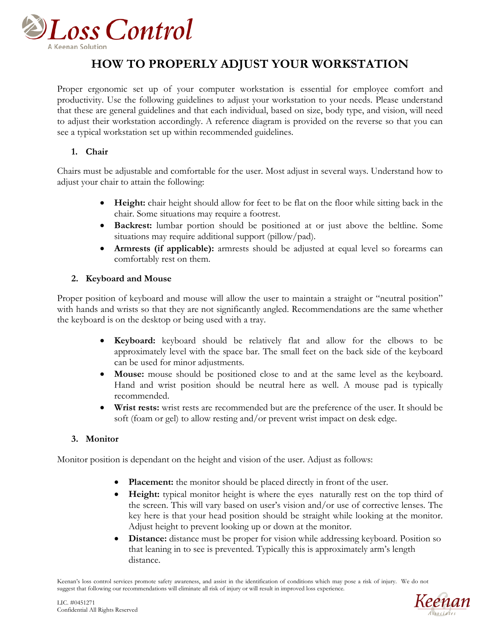

## **HOW TO PROPERLY ADJUST YOUR WORKSTATION**

Proper ergonomic set up of your computer workstation is essential for employee comfort and productivity. Use the following guidelines to adjust your workstation to your needs. Please understand that these are general guidelines and that each individual, based on size, body type, and vision, will need to adjust their workstation accordingly. A reference diagram is provided on the reverse so that you can see a typical workstation set up within recommended guidelines.

## **1. Chair**

Chairs must be adjustable and comfortable for the user. Most adjust in several ways. Understand how to adjust your chair to attain the following:

- **Height:** chair height should allow for feet to be flat on the floor while sitting back in the chair. Some situations may require a footrest.
- **Backrest:** lumbar portion should be positioned at or just above the beltline. Some situations may require additional support (pillow/pad).
- **Armrests (if applicable):** armrests should be adjusted at equal level so forearms can comfortably rest on them.

## **2. Keyboard and Mouse**

Proper position of keyboard and mouse will allow the user to maintain a straight or "neutral position" with hands and wrists so that they are not significantly angled. Recommendations are the same whether the keyboard is on the desktop or being used with a tray.

- **Keyboard:** keyboard should be relatively flat and allow for the elbows to be approximately level with the space bar. The small feet on the back side of the keyboard can be used for minor adjustments.
- **Mouse:** mouse should be positioned close to and at the same level as the keyboard. Hand and wrist position should be neutral here as well. A mouse pad is typically recommended.
- **Wrist rests:** wrist rests are recommended but are the preference of the user. It should be soft (foam or gel) to allow resting and/or prevent wrist impact on desk edge.

## **3. Monitor**

Monitor position is dependant on the height and vision of the user. Adjust as follows:

- **Placement:** the monitor should be placed directly in front of the user.
- **Height:** typical monitor height is where the eyes naturally rest on the top third of the screen. This will vary based on user's vision and/or use of corrective lenses. The key here is that your head position should be straight while looking at the monitor. Adjust height to prevent looking up or down at the monitor.
- **Distance:** distance must be proper for vision while addressing keyboard. Position so that leaning in to see is prevented. Typically this is approximately arm's length distance.

Keenan's loss control services promote safety awareness, and assist in the identification of conditions which may pose a risk of injury. We do not suggest that following our recommendations will eliminate all risk of injury or will result in improved loss experience.